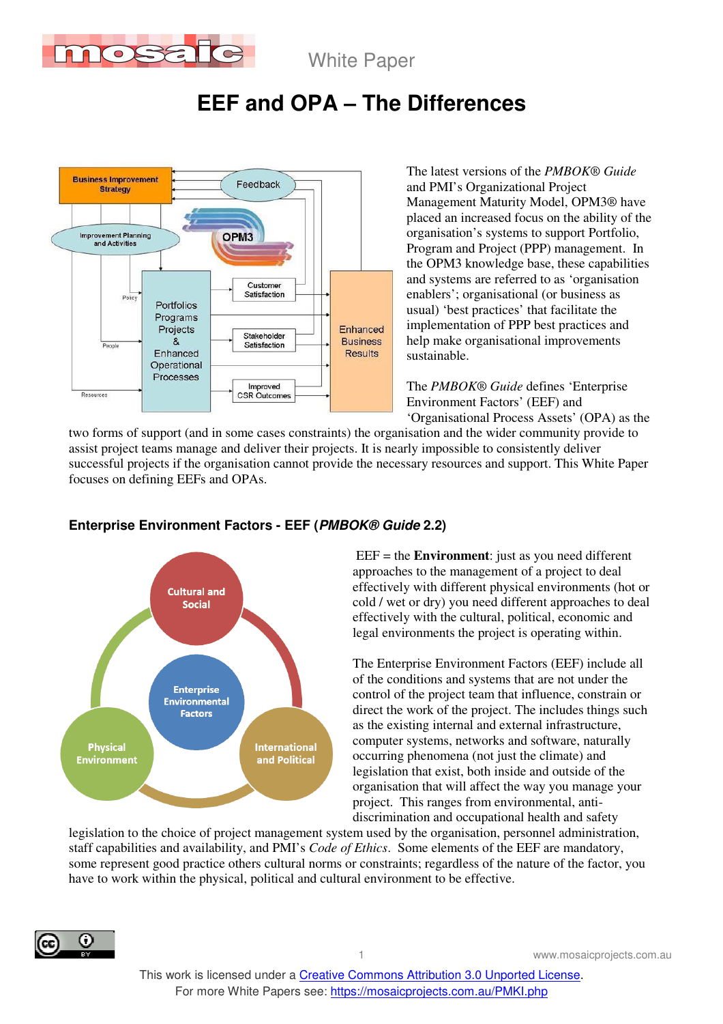

White Paper

# **EEF and OPA – The Differences**



The latest versions of the *PMBOK® Guide* and PMI's Organizational Project Management Maturity Model, OPM3® have placed an increased focus on the ability of the organisation's systems to support Portfolio, Program and Project (PPP) management. In the OPM3 knowledge base, these capabilities and systems are referred to as 'organisation enablers'; organisational (or business as usual) 'best practices' that facilitate the implementation of PPP best practices and help make organisational improvements sustainable.

The *PMBOK® Guide* defines 'Enterprise Environment Factors' (EEF) and 'Organisational Process Assets' (OPA) as the

two forms of support (and in some cases constraints) the organisation and the wider community provide to assist project teams manage and deliver their projects. It is nearly impossible to consistently deliver successful projects if the organisation cannot provide the necessary resources and support. This White Paper focuses on defining EEFs and OPAs.



### **Enterprise Environment Factors - EEF (PMBOK® Guide 2.2)**

 EEF = the **Environment**: just as you need different approaches to the management of a project to deal effectively with different physical environments (hot or cold / wet or dry) you need different approaches to deal effectively with the cultural, political, economic and legal environments the project is operating within.

The Enterprise Environment Factors (EEF) include all of the conditions and systems that are not under the control of the project team that influence, constrain or direct the work of the project. The includes things such as the existing internal and external infrastructure, computer systems, networks and software, naturally occurring phenomena (not just the climate) and legislation that exist, both inside and outside of the organisation that will affect the way you manage your project. This ranges from environmental, antidiscrimination and occupational health and safety

legislation to the choice of project management system used by the organisation, personnel administration, staff capabilities and availability, and PMI's *Code of Ethics*. Some elements of the EEF are mandatory, some represent good practice others cultural norms or constraints; regardless of the nature of the factor, you have to work within the physical, political and cultural environment to be effective.

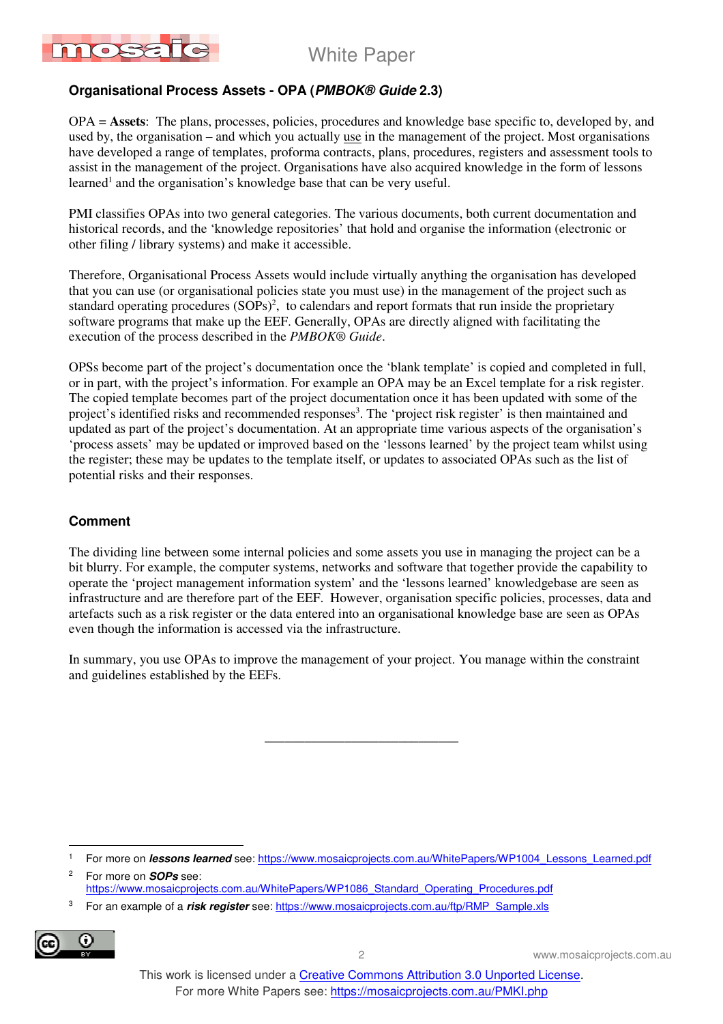

White Paper

#### **Organisational Process Assets - OPA (PMBOK® Guide 2.3)**

OPA = **Assets**: The plans, processes, policies, procedures and knowledge base specific to, developed by, and used by, the organisation – and which you actually use in the management of the project. Most organisations have developed a range of templates, proforma contracts, plans, procedures, registers and assessment tools to assist in the management of the project. Organisations have also acquired knowledge in the form of lessons learned<sup>1</sup> and the organisation's knowledge base that can be very useful.

PMI classifies OPAs into two general categories. The various documents, both current documentation and historical records, and the 'knowledge repositories' that hold and organise the information (electronic or other filing / library systems) and make it accessible.

Therefore, Organisational Process Assets would include virtually anything the organisation has developed that you can use (or organisational policies state you must use) in the management of the project such as standard operating procedures  $(SOPs)^2$ , to calendars and report formats that run inside the proprietary software programs that make up the EEF. Generally, OPAs are directly aligned with facilitating the execution of the process described in the *PMBOK® Guide*.

OPSs become part of the project's documentation once the 'blank template' is copied and completed in full, or in part, with the project's information. For example an OPA may be an Excel template for a risk register. The copied template becomes part of the project documentation once it has been updated with some of the project's identified risks and recommended responses<sup>3</sup>. The 'project risk register' is then maintained and updated as part of the project's documentation. At an appropriate time various aspects of the organisation's 'process assets' may be updated or improved based on the 'lessons learned' by the project team whilst using the register; these may be updates to the template itself, or updates to associated OPAs such as the list of potential risks and their responses.

#### **Comment**

The dividing line between some internal policies and some assets you use in managing the project can be a bit blurry. For example, the computer systems, networks and software that together provide the capability to operate the 'project management information system' and the 'lessons learned' knowledgebase are seen as infrastructure and are therefore part of the EEF. However, organisation specific policies, processes, data and artefacts such as a risk register or the data entered into an organisational knowledge base are seen as OPAs even though the information is accessed via the infrastructure.

In summary, you use OPAs to improve the management of your project. You manage within the constraint and guidelines established by the EEFs.

\_\_\_\_\_\_\_\_\_\_\_\_\_\_\_\_\_\_\_\_\_\_\_\_\_\_\_\_\_

<sup>3</sup> For an example of a **risk register** see: https://www.mosaicprojects.com.au/ftp/RMP\_Sample.xls



 $\overline{a}$ 

2

2 www.mosaicprojects.com.au

<sup>1</sup> For more on **lessons learned** see: https://www.mosaicprojects.com.au/WhitePapers/WP1004\_Lessons\_Learned.pdf

For more on **SOPs** see: https://www.mosaicprojects.com.au/WhitePapers/WP1086\_Standard\_Operating\_Procedures.pdf